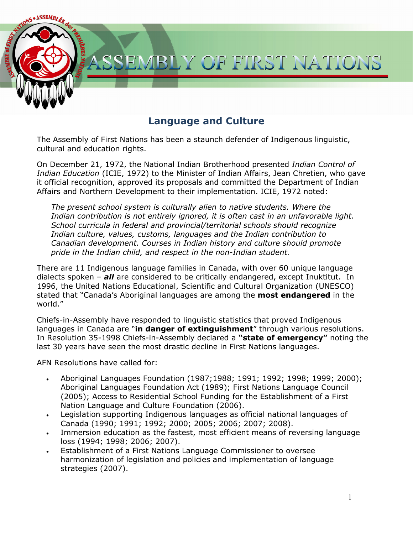

The Assembly of First Nations has been a staunch defender of Indigenous linguistic, cultural and education rights.

On December 21, 1972, the National Indian Brotherhood presented *Indian Control of Indian Education* (ICIE, 1972) to the Minister of Indian Affairs, Jean Chretien, who gave it official recognition, approved its proposals and committed the Department of Indian Affairs and Northern Development to their implementation. ICIE, 1972 noted:

*The present school system is culturally alien to native students. Where the Indian contribution is not entirely ignored, it is often cast in an unfavorable light. School curricula in federal and provincial/territorial schools should recognize Indian culture, values, customs, languages and the Indian contribution to Canadian development. Courses in Indian history and culture should promote pride in the Indian child, and respect in the non-Indian student.* 

There are 11 Indigenous language families in Canada, with over 60 unique language dialects spoken – *all* are considered to be critically endangered, except Inuktitut. In 1996, the United Nations Educational, Scientific and Cultural Organization (UNESCO) stated that "Canada's Aboriginal languages are among the **most endangered** in the world."

Chiefs-in-Assembly have responded to linguistic statistics that proved Indigenous languages in Canada are "**in danger of extinguishment**" through various resolutions. In Resolution 35-1998 Chiefs-in-Assembly declared a **"state of emergency"** noting the last 30 years have seen the most drastic decline in First Nations languages.

AFN Resolutions have called for:

- Aboriginal Languages Foundation (1987;1988; 1991; 1992; 1998; 1999; 2000); Aboriginal Languages Foundation Act (1989); First Nations Language Council (2005); Access to Residential School Funding for the Establishment of a First Nation Language and Culture Foundation (2006).
- Legislation supporting Indigenous languages as official national languages of Canada (1990; 1991; 1992; 2000; 2005; 2006; 2007; 2008).
- Immersion education as the fastest, most efficient means of reversing language loss (1994; 1998; 2006; 2007).
- Establishment of a First Nations Language Commissioner to oversee harmonization of legislation and policies and implementation of language strategies (2007).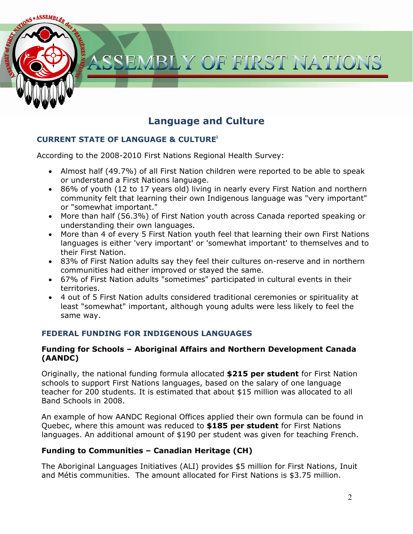

### **CURRENT STATE OF LANGUAGE & CULTUREi**

According to the 2008-2010 First Nations Regional Health Survey:

- Almost half (49.7%) of all First Nation children were reported to be able to speak or understand a First Nations language.
- 86% of youth (12 to 17 years old) living in nearly every First Nation and northern community felt that learning their own Indigenous language was "very important" or "somewhat important."
- More than half (56.3%) of First Nation youth across Canada reported speaking or understanding their own languages.
- More than 4 of every 5 First Nation youth feel that learning their own First Nations languages is either 'very important' or 'somewhat important' to themselves and to their First Nation.
- 83% of First Nation adults say they feel their cultures on-reserve and in northern communities had either improved or stayed the same.
- 67% of First Nation adults "sometimes" participated in cultural events in their territories.
- 4 out of 5 First Nation adults considered traditional ceremonies or spirituality at least "somewhat" important, although young adults were less likely to feel the same way.

### **FEDERAL FUNDING FOR INDIGENOUS LANGUAGES**

#### **Funding for Schools – Aboriginal Affairs and Northern Development Canada (AANDC)**

Originally, the national funding formula allocated **\$215 per student** for First Nation schools to support First Nations languages, based on the salary of one language teacher for 200 students. It is estimated that about \$15 million was allocated to all Band Schools in 2008.

An example of how AANDC Regional Offices applied their own formula can be found in Quebec, where this amount was reduced to **\$185 per student** for First Nations languages. An additional amount of \$190 per student was given for teaching French.

### **Funding to Communities – Canadian Heritage (CH)**

The Aboriginal Languages Initiatives (ALI) provides \$5 million for First Nations, Inuit and Métis communities. The amount allocated for First Nations is \$3.75 million.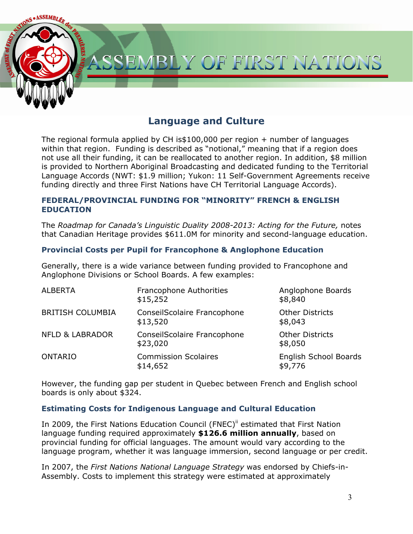

The regional formula applied by CH is $$100,000$  per region + number of languages within that region. Funding is described as "notional," meaning that if a region does not use all their funding, it can be reallocated to another region. In addition, \$8 million is provided to Northern Aboriginal Broadcasting and dedicated funding to the Territorial Language Accords (NWT: \$1.9 million; Yukon: 11 Self-Government Agreements receive funding directly and three First Nations have CH Territorial Language Accords).

### **FEDERAL/PROVINCIAL FUNDING FOR "MINORITY" FRENCH & ENGLISH EDUCATION**

The *Roadmap for Canada's Linguistic Duality 2008-2013: Acting for the Future,* notes that Canadian Heritage provides \$611.0M for minority and second-language education.

### **Provincial Costs per Pupil for Francophone & Anglophone Education**

Generally, there is a wide variance between funding provided to Francophone and Anglophone Divisions or School Boards. A few examples:

| <b>ALBERTA</b>             | Francophone Authorities<br>\$15,252     | Anglophone Boards<br>\$8,840      |
|----------------------------|-----------------------------------------|-----------------------------------|
| <b>BRITISH COLUMBIA</b>    | ConseilScolaire Francophone<br>\$13,520 | <b>Other Districts</b><br>\$8,043 |
| <b>NFLD &amp; LABRADOR</b> | ConseilScolaire Francophone<br>\$23,020 | <b>Other Districts</b><br>\$8,050 |
| <b>ONTARIO</b>             | <b>Commission Scolaires</b><br>\$14,652 | English School Boards<br>\$9,776  |

However, the funding gap per student in Quebec between French and English school boards is only about \$324.

#### **Estimating Costs for Indigenous Language and Cultural Education**

In 2009, the First Nations Education Council (FNEC)<sup>ii</sup> estimated that First Nation language funding required approximately **\$126.6 million annually**, based on provincial funding for official languages. The amount would vary according to the language program, whether it was language immersion, second language or per credit.

In 2007, the *First Nations National Language Strategy* was endorsed by Chiefs-in-Assembly. Costs to implement this strategy were estimated at approximately